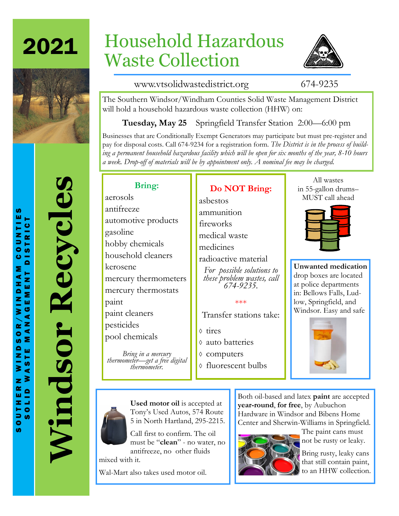2021



# Household Hazardous Waste Collection



### www.vtsolidwastedistrict.org 674-9235

The Southern Windsor/Windham Counties Solid Waste Management District will hold a household hazardous waste collection (HHW) on:

### **Tuesday, May 25** Springfield Transfer Station 2:00—6:00 pm

Businesses that are Conditionally Exempt Generators may participate but must pre-register and pay for disposal costs. Call 674-9234 for a registration form. *The District is in the process of building a permanent household hazardous facility which will be open for six months of the year, 8-10 hours a week. Drop-off of materials will be by appointment only. A nominal fee may be charged.*

**SD** 

# **Windsor Recycles** Vindsor Recycles

**Bring:** aerosols antifreeze automotive products gasoline hobby chemicals household cleaners kerosene mercury thermometers mercury thermostats paint paint cleaners pesticides pool chemicals *Bring in a mercury thermometer—get a free digital* 

*thermometer.*

# **Do NOT Bring:**

asbestos ammunition fireworks

medical waste

medicines

radioactive material

*For possible solutions to these problem wastes, call 674-9235.*

### \*\*\*

Transfer stations take:

- tires
- auto batteries
- computers
- fluorescent bulbs

All wastes in 55-gallon drums– MUST call ahead



**Unwanted medication**  drop boxes are located at police departments in: Bellows Falls, Ludlow, Springfield, and Windsor. Easy and safe



**Used motor oil** is accepted at Tony's Used Autos, 574 Route 5 in North Hartland, 295-2215.

Call first to confirm. The oil must be "**clean**" - no water, no antifreeze, no other fluids

mixed with it.

Wal-Mart also takes used motor oil.

Both oil-based and latex **paint** are accepted **year-round**, **for free**, by Aubuchon Hardware in Windsor and Bibens Home Center and Sherwin-Williams in Springfield.



not be rusty or leaky. Bring rusty, leaky cans that still contain paint,

to an HHW collection.